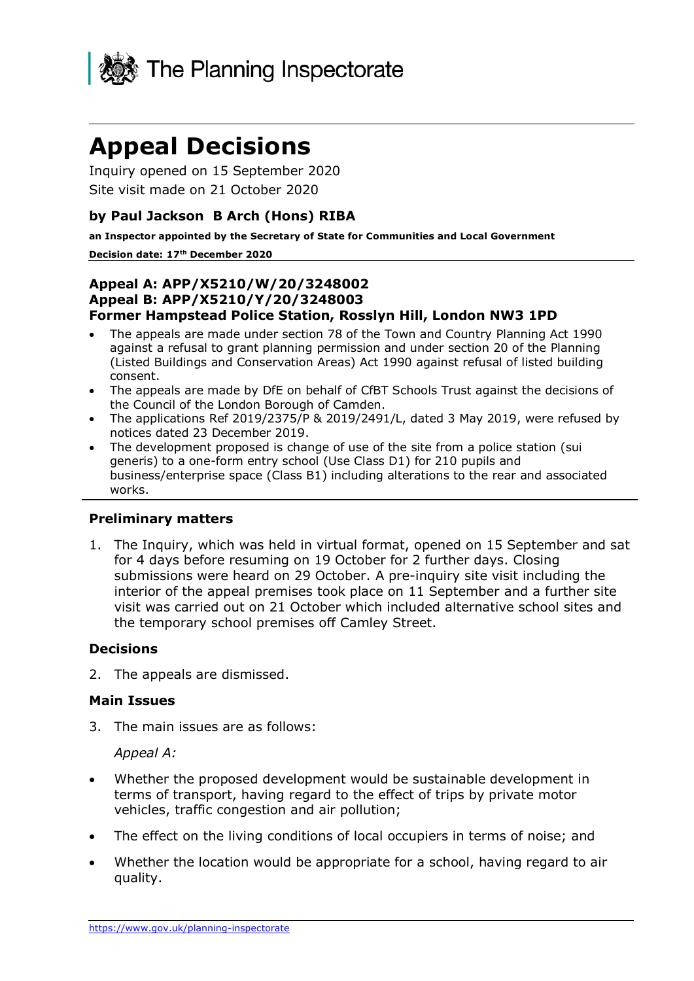

# **Appeal Decisions**

Inquiry opened on 15 September 2020 Site visit made on 21 October 2020

## **by Paul Jackson B Arch (Hons) RIBA**

**an Inspector appointed by the Secretary of State for Communities and Local Government**

#### **Decision date: 17th December 2020**

#### **Appeal A: APP/X5210/W/20/3248002 Appeal B: APP/X5210/Y/20/3248003 Former Hampstead Police Station, Rosslyn Hill, London NW3 1PD**

- The appeals are made under section 78 of the Town and Country Planning Act 1990 against a refusal to grant planning permission and under section 20 of the Planning (Listed Buildings and Conservation Areas) Act 1990 against refusal of listed building consent.
- The appeals are made by DfE on behalf of CfBT Schools Trust against the decisions of the Council of the London Borough of Camden.
- The applications Ref 2019/2375/P & 2019/2491/L, dated 3 May 2019, were refused by notices dated 23 December 2019.
- The development proposed is change of use of the site from a police station (sui generis) to a one-form entry school (Use Class D1) for 210 pupils and business/enterprise space (Class B1) including alterations to the rear and associated works.

#### **Preliminary matters**

1. The Inquiry, which was held in virtual format, opened on 15 September and sat for 4 days before resuming on 19 October for 2 further days. Closing submissions were heard on 29 October. A pre-inquiry site visit including the interior of the appeal premises took place on 11 September and a further site visit was carried out on 21 October which included alternative school sites and the temporary school premises off Camley Street.

#### **Decisions**

2. The appeals are dismissed.

#### **Main Issues**

3. The main issues are as follows:

*Appeal A:*

- Whether the proposed development would be sustainable development in terms of transport, having regard to the effect of trips by private motor vehicles, traffic congestion and air pollution;
- The effect on the living conditions of local occupiers in terms of noise; and
- Whether the location would be appropriate for a school, having regard to air quality.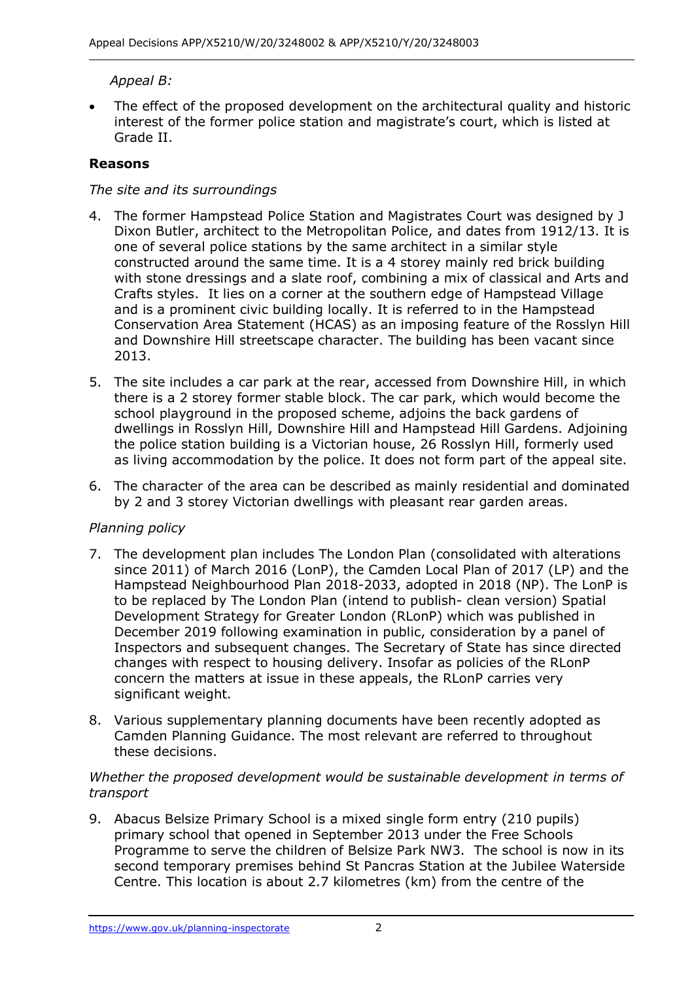## *Appeal B:*

The effect of the proposed development on the architectural quality and historic interest of the former police station and magistrate's court, which is listed at Grade II.

## **Reasons**

## *The site and its surroundings*

- 4. The former Hampstead Police Station and Magistrates Court was designed by J Dixon Butler, architect to the Metropolitan Police, and dates from 1912/13. It is one of several police stations by the same architect in a similar style constructed around the same time. It is a 4 storey mainly red brick building with stone dressings and a slate roof, combining a mix of classical and Arts and Crafts styles. It lies on a corner at the southern edge of Hampstead Village and is a prominent civic building locally. It is referred to in the Hampstead Conservation Area Statement (HCAS) as an imposing feature of the Rosslyn Hill and Downshire Hill streetscape character. The building has been vacant since 2013.
- 5. The site includes a car park at the rear, accessed from Downshire Hill, in which there is a 2 storey former stable block. The car park, which would become the school playground in the proposed scheme, adjoins the back gardens of dwellings in Rosslyn Hill, Downshire Hill and Hampstead Hill Gardens. Adjoining the police station building is a Victorian house, 26 Rosslyn Hill, formerly used as living accommodation by the police. It does not form part of the appeal site.
- 6. The character of the area can be described as mainly residential and dominated by 2 and 3 storey Victorian dwellings with pleasant rear garden areas.

#### *Planning policy*

- 7. The development plan includes The London Plan (consolidated with alterations since 2011) of March 2016 (LonP), the Camden Local Plan of 2017 (LP) and the Hampstead Neighbourhood Plan 2018-2033, adopted in 2018 (NP). The LonP is to be replaced by The London Plan (intend to publish- clean version) Spatial Development Strategy for Greater London (RLonP) which was published in December 2019 following examination in public, consideration by a panel of Inspectors and subsequent changes. The Secretary of State has since directed changes with respect to housing delivery. Insofar as policies of the RLonP concern the matters at issue in these appeals, the RLonP carries very significant weight.
- 8. Various supplementary planning documents have been recently adopted as Camden Planning Guidance. The most relevant are referred to throughout these decisions.

#### *Whether the proposed development would be sustainable development in terms of transport*

9. Abacus Belsize Primary School is a mixed single form entry (210 pupils) primary school that opened in September 2013 under the Free Schools Programme to serve the children of Belsize Park NW3. The school is now in its second temporary premises behind St Pancras Station at the Jubilee Waterside Centre. This location is about 2.7 kilometres (km) from the centre of the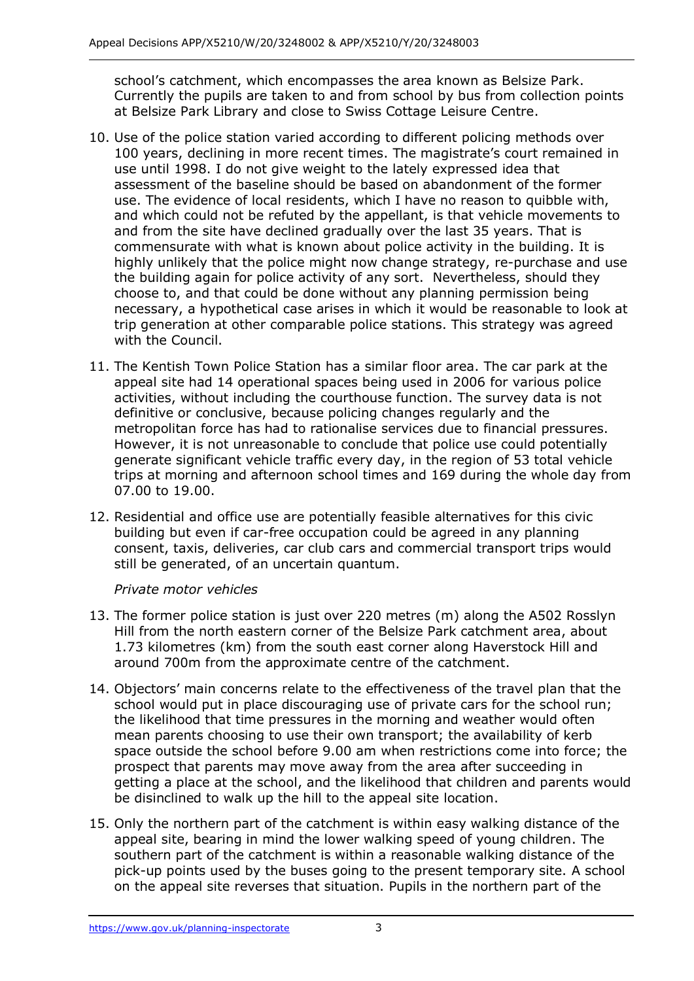school's catchment, which encompasses the area known as Belsize Park. Currently the pupils are taken to and from school by bus from collection points at Belsize Park Library and close to Swiss Cottage Leisure Centre.

- 10. Use of the police station varied according to different policing methods over 100 years, declining in more recent times. The magistrate's court remained in use until 1998. I do not give weight to the lately expressed idea that assessment of the baseline should be based on abandonment of the former use. The evidence of local residents, which I have no reason to quibble with, and which could not be refuted by the appellant, is that vehicle movements to and from the site have declined gradually over the last 35 years. That is commensurate with what is known about police activity in the building. It is highly unlikely that the police might now change strategy, re-purchase and use the building again for police activity of any sort. Nevertheless, should they choose to, and that could be done without any planning permission being necessary, a hypothetical case arises in which it would be reasonable to look at trip generation at other comparable police stations. This strategy was agreed with the Council.
- 11. The Kentish Town Police Station has a similar floor area. The car park at the appeal site had 14 operational spaces being used in 2006 for various police activities, without including the courthouse function. The survey data is not definitive or conclusive, because policing changes regularly and the metropolitan force has had to rationalise services due to financial pressures. However, it is not unreasonable to conclude that police use could potentially generate significant vehicle traffic every day, in the region of 53 total vehicle trips at morning and afternoon school times and 169 during the whole day from 07.00 to 19.00.
- 12. Residential and office use are potentially feasible alternatives for this civic building but even if car-free occupation could be agreed in any planning consent, taxis, deliveries, car club cars and commercial transport trips would still be generated, of an uncertain quantum.

#### *Private motor vehicles*

- 13. The former police station is just over 220 metres (m) along the A502 Rosslyn Hill from the north eastern corner of the Belsize Park catchment area, about 1.73 kilometres (km) from the south east corner along Haverstock Hill and around 700m from the approximate centre of the catchment.
- 14. Objectors' main concerns relate to the effectiveness of the travel plan that the school would put in place discouraging use of private cars for the school run; the likelihood that time pressures in the morning and weather would often mean parents choosing to use their own transport; the availability of kerb space outside the school before 9.00 am when restrictions come into force; the prospect that parents may move away from the area after succeeding in getting a place at the school, and the likelihood that children and parents would be disinclined to walk up the hill to the appeal site location.
- 15. Only the northern part of the catchment is within easy walking distance of the appeal site, bearing in mind the lower walking speed of young children. The southern part of the catchment is within a reasonable walking distance of the pick-up points used by the buses going to the present temporary site. A school on the appeal site reverses that situation. Pupils in the northern part of the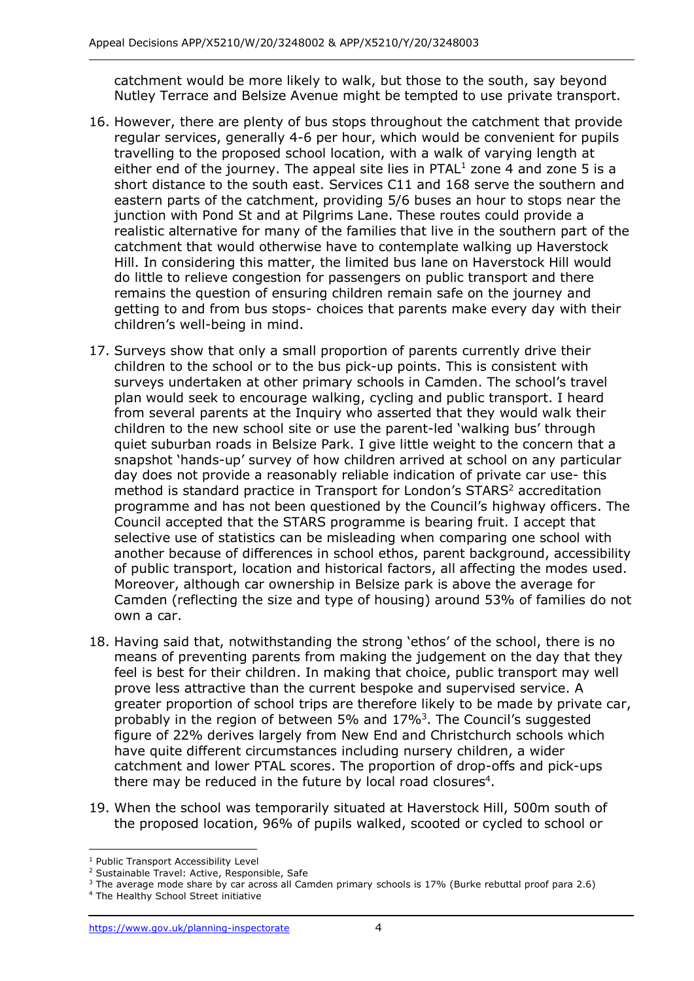catchment would be more likely to walk, but those to the south, say beyond Nutley Terrace and Belsize Avenue might be tempted to use private transport.

- 16. However, there are plenty of bus stops throughout the catchment that provide regular services, generally 4-6 per hour, which would be convenient for pupils travelling to the proposed school location, with a walk of varying length at either end of the journey. The appeal site lies in  $PTAL<sup>1</sup>$  zone 4 and zone 5 is a short distance to the south east. Services C11 and 168 serve the southern and eastern parts of the catchment, providing 5/6 buses an hour to stops near the junction with Pond St and at Pilgrims Lane. These routes could provide a realistic alternative for many of the families that live in the southern part of the catchment that would otherwise have to contemplate walking up Haverstock Hill. In considering this matter, the limited bus lane on Haverstock Hill would do little to relieve congestion for passengers on public transport and there remains the question of ensuring children remain safe on the journey and getting to and from bus stops- choices that parents make every day with their children's well-being in mind.
- 17. Surveys show that only a small proportion of parents currently drive their children to the school or to the bus pick-up points. This is consistent with surveys undertaken at other primary schools in Camden. The school's travel plan would seek to encourage walking, cycling and public transport. I heard from several parents at the Inquiry who asserted that they would walk their children to the new school site or use the parent-led 'walking bus' through quiet suburban roads in Belsize Park. I give little weight to the concern that a snapshot 'hands-up' survey of how children arrived at school on any particular day does not provide a reasonably reliable indication of private car use- this method is standard practice in Transport for London's STARS <sup>2</sup> accreditation programme and has not been questioned by the Council's highway officers. The Council accepted that the STARS programme is bearing fruit. I accept that selective use of statistics can be misleading when comparing one school with another because of differences in school ethos, parent background, accessibility of public transport, location and historical factors, all affecting the modes used. Moreover, although car ownership in Belsize park is above the average for Camden (reflecting the size and type of housing) around 53% of families do not own a car.
- 18. Having said that, notwithstanding the strong 'ethos' of the school, there is no means of preventing parents from making the judgement on the day that they feel is best for their children. In making that choice, public transport may well prove less attractive than the current bespoke and supervised service. A greater proportion of school trips are therefore likely to be made by private car, probably in the region of between 5% and 17%<sup>3</sup>. The Council's suggested figure of 22% derives largely from New End and Christchurch schools which have quite different circumstances including nursery children, a wider catchment and lower PTAL scores. The proportion of drop-offs and pick-ups there may be reduced in the future by local road closures<sup>4</sup>.
- 19. When the school was temporarily situated at Haverstock Hill, 500m south of the proposed location, 96% of pupils walked, scooted or cycled to school or

<sup>1</sup> Public Transport Accessibility Level

<sup>&</sup>lt;sup>2</sup> Sustainable Travel: Active, Responsible, Safe

 $3$  The average mode share by car across all Camden primary schools is 17% (Burke rebuttal proof para 2.6)

<sup>4</sup> The Healthy School Street initiative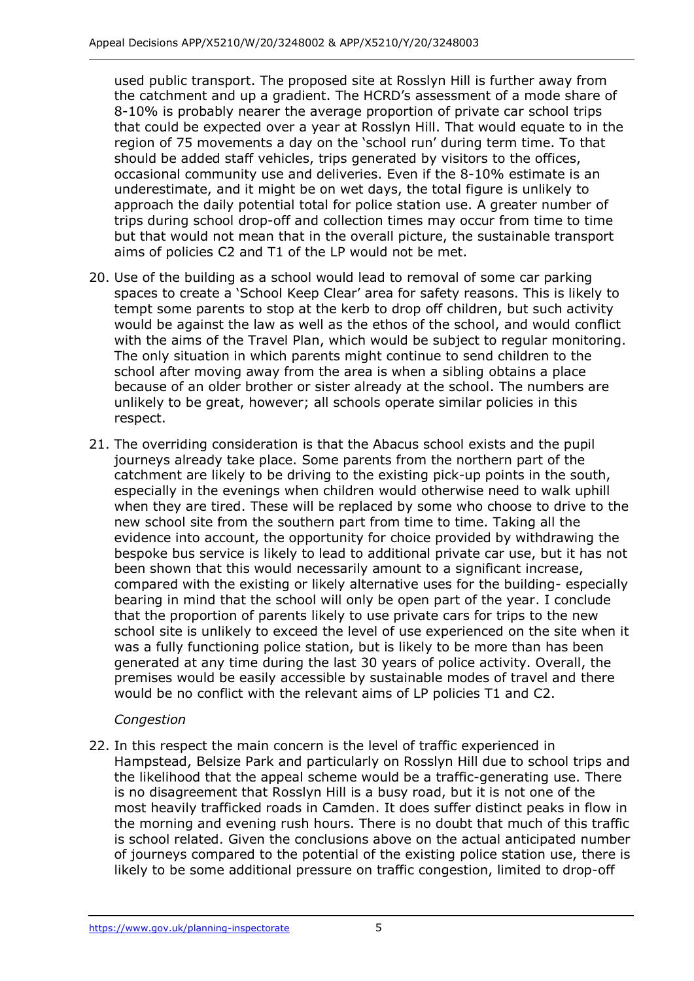used public transport. The proposed site at Rosslyn Hill is further away from the catchment and up a gradient. The HCRD's assessment of a mode share of 8-10% is probably nearer the average proportion of private car school trips that could be expected over a year at Rosslyn Hill. That would equate to in the region of 75 movements a day on the 'school run' during term time. To that should be added staff vehicles, trips generated by visitors to the offices, occasional community use and deliveries. Even if the 8-10% estimate is an underestimate, and it might be on wet days, the total figure is unlikely to approach the daily potential total for police station use. A greater number of trips during school drop-off and collection times may occur from time to time but that would not mean that in the overall picture, the sustainable transport aims of policies C2 and T1 of the LP would not be met.

- 20. Use of the building as a school would lead to removal of some car parking spaces to create a 'School Keep Clear' area for safety reasons. This is likely to tempt some parents to stop at the kerb to drop off children, but such activity would be against the law as well as the ethos of the school, and would conflict with the aims of the Travel Plan, which would be subject to regular monitoring. The only situation in which parents might continue to send children to the school after moving away from the area is when a sibling obtains a place because of an older brother or sister already at the school. The numbers are unlikely to be great, however; all schools operate similar policies in this respect.
- 21. The overriding consideration is that the Abacus school exists and the pupil journeys already take place. Some parents from the northern part of the catchment are likely to be driving to the existing pick-up points in the south, especially in the evenings when children would otherwise need to walk uphill when they are tired. These will be replaced by some who choose to drive to the new school site from the southern part from time to time. Taking all the evidence into account, the opportunity for choice provided by withdrawing the bespoke bus service is likely to lead to additional private car use, but it has not been shown that this would necessarily amount to a significant increase, compared with the existing or likely alternative uses for the building- especially bearing in mind that the school will only be open part of the year. I conclude that the proportion of parents likely to use private cars for trips to the new school site is unlikely to exceed the level of use experienced on the site when it was a fully functioning police station, but is likely to be more than has been generated at any time during the last 30 years of police activity. Overall, the premises would be easily accessible by sustainable modes of travel and there would be no conflict with the relevant aims of LP policies T1 and C2.

## *Congestion*

22. In this respect the main concern is the level of traffic experienced in Hampstead, Belsize Park and particularly on Rosslyn Hill due to school trips and the likelihood that the appeal scheme would be a traffic-generating use. There is no disagreement that Rosslyn Hill is a busy road, but it is not one of the most heavily trafficked roads in Camden. It does suffer distinct peaks in flow in the morning and evening rush hours. There is no doubt that much of this traffic is school related. Given the conclusions above on the actual anticipated number of journeys compared to the potential of the existing police station use, there is likely to be some additional pressure on traffic congestion, limited to drop-off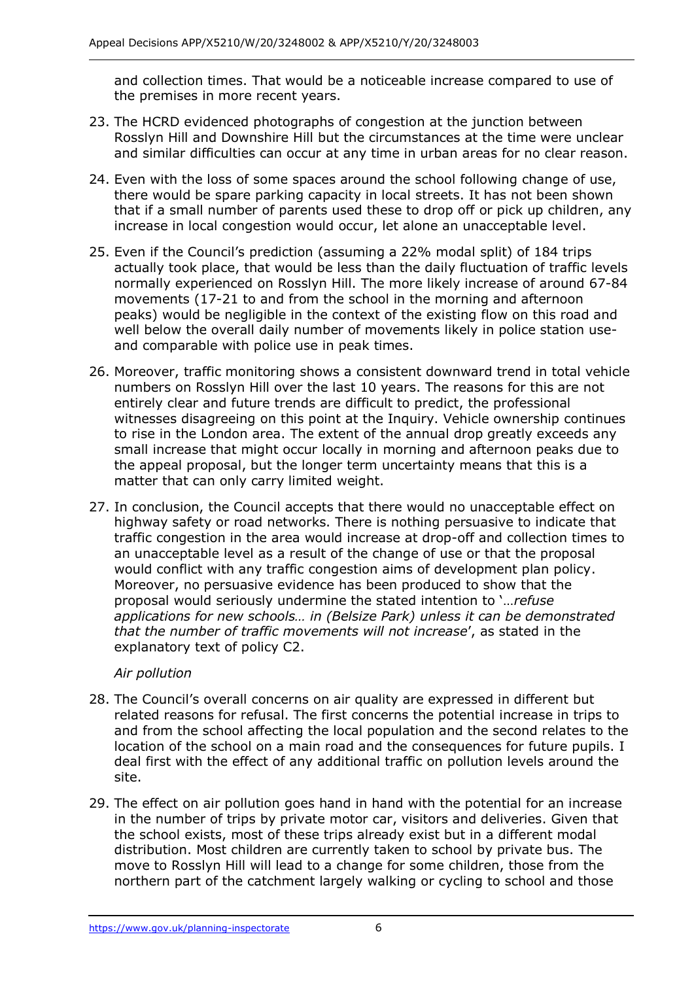and collection times. That would be a noticeable increase compared to use of the premises in more recent years.

- 23. The HCRD evidenced photographs of congestion at the junction between Rosslyn Hill and Downshire Hill but the circumstances at the time were unclear and similar difficulties can occur at any time in urban areas for no clear reason.
- 24. Even with the loss of some spaces around the school following change of use, there would be spare parking capacity in local streets. It has not been shown that if a small number of parents used these to drop off or pick up children, any increase in local congestion would occur, let alone an unacceptable level.
- 25. Even if the Council's prediction (assuming a 22% modal split) of 184 trips actually took place, that would be less than the daily fluctuation of traffic levels normally experienced on Rosslyn Hill. The more likely increase of around 67-84 movements (17-21 to and from the school in the morning and afternoon peaks) would be negligible in the context of the existing flow on this road and well below the overall daily number of movements likely in police station useand comparable with police use in peak times.
- 26. Moreover, traffic monitoring shows a consistent downward trend in total vehicle numbers on Rosslyn Hill over the last 10 years. The reasons for this are not entirely clear and future trends are difficult to predict, the professional witnesses disagreeing on this point at the Inquiry. Vehicle ownership continues to rise in the London area. The extent of the annual drop greatly exceeds any small increase that might occur locally in morning and afternoon peaks due to the appeal proposal, but the longer term uncertainty means that this is a matter that can only carry limited weight.
- 27. In conclusion, the Council accepts that there would no unacceptable effect on highway safety or road networks. There is nothing persuasive to indicate that traffic congestion in the area would increase at drop-off and collection times to an unacceptable level as a result of the change of use or that the proposal would conflict with any traffic congestion aims of development plan policy. Moreover, no persuasive evidence has been produced to show that the proposal would seriously undermine the stated intention to '…*refuse applications for new schools… in (Belsize Park) unless it can be demonstrated that the number of traffic movements will not increase*', as stated in the explanatory text of policy C2.

## *Air pollution*

- 28. The Council's overall concerns on air quality are expressed in different but related reasons for refusal. The first concerns the potential increase in trips to and from the school affecting the local population and the second relates to the location of the school on a main road and the consequences for future pupils. I deal first with the effect of any additional traffic on pollution levels around the site.
- 29. The effect on air pollution goes hand in hand with the potential for an increase in the number of trips by private motor car, visitors and deliveries. Given that the school exists, most of these trips already exist but in a different modal distribution. Most children are currently taken to school by private bus. The move to Rosslyn Hill will lead to a change for some children, those from the northern part of the catchment largely walking or cycling to school and those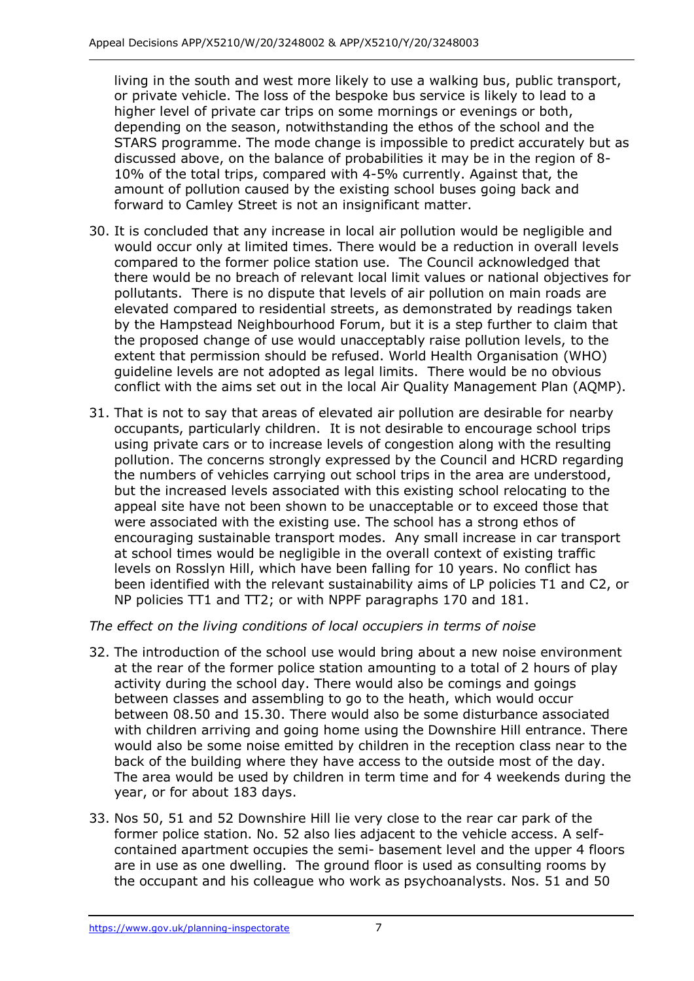living in the south and west more likely to use a walking bus, public transport, or private vehicle. The loss of the bespoke bus service is likely to lead to a higher level of private car trips on some mornings or evenings or both, depending on the season, notwithstanding the ethos of the school and the STARS programme. The mode change is impossible to predict accurately but as discussed above, on the balance of probabilities it may be in the region of 8- 10% of the total trips, compared with 4-5% currently. Against that, the amount of pollution caused by the existing school buses going back and forward to Camley Street is not an insignificant matter.

- 30. It is concluded that any increase in local air pollution would be negligible and would occur only at limited times. There would be a reduction in overall levels compared to the former police station use. The Council acknowledged that there would be no breach of relevant local limit values or national objectives for pollutants. There is no dispute that levels of air pollution on main roads are elevated compared to residential streets, as demonstrated by readings taken by the Hampstead Neighbourhood Forum, but it is a step further to claim that the proposed change of use would unacceptably raise pollution levels, to the extent that permission should be refused. World Health Organisation (WHO) guideline levels are not adopted as legal limits. There would be no obvious conflict with the aims set out in the local Air Quality Management Plan (AQMP).
- 31. That is not to say that areas of elevated air pollution are desirable for nearby occupants, particularly children. It is not desirable to encourage school trips using private cars or to increase levels of congestion along with the resulting pollution. The concerns strongly expressed by the Council and HCRD regarding the numbers of vehicles carrying out school trips in the area are understood, but the increased levels associated with this existing school relocating to the appeal site have not been shown to be unacceptable or to exceed those that were associated with the existing use. The school has a strong ethos of encouraging sustainable transport modes. Any small increase in car transport at school times would be negligible in the overall context of existing traffic levels on Rosslyn Hill, which have been falling for 10 years. No conflict has been identified with the relevant sustainability aims of LP policies T1 and C2, or NP policies TT1 and TT2; or with NPPF paragraphs 170 and 181.

## *The effect on the living conditions of local occupiers in terms of noise*

- 32. The introduction of the school use would bring about a new noise environment at the rear of the former police station amounting to a total of 2 hours of play activity during the school day. There would also be comings and goings between classes and assembling to go to the heath, which would occur between 08.50 and 15.30. There would also be some disturbance associated with children arriving and going home using the Downshire Hill entrance. There would also be some noise emitted by children in the reception class near to the back of the building where they have access to the outside most of the day. The area would be used by children in term time and for 4 weekends during the year, or for about 183 days.
- 33. Nos 50, 51 and 52 Downshire Hill lie very close to the rear car park of the former police station. No. 52 also lies adjacent to the vehicle access. A selfcontained apartment occupies the semi- basement level and the upper 4 floors are in use as one dwelling. The ground floor is used as consulting rooms by the occupant and his colleague who work as psychoanalysts. Nos. 51 and 50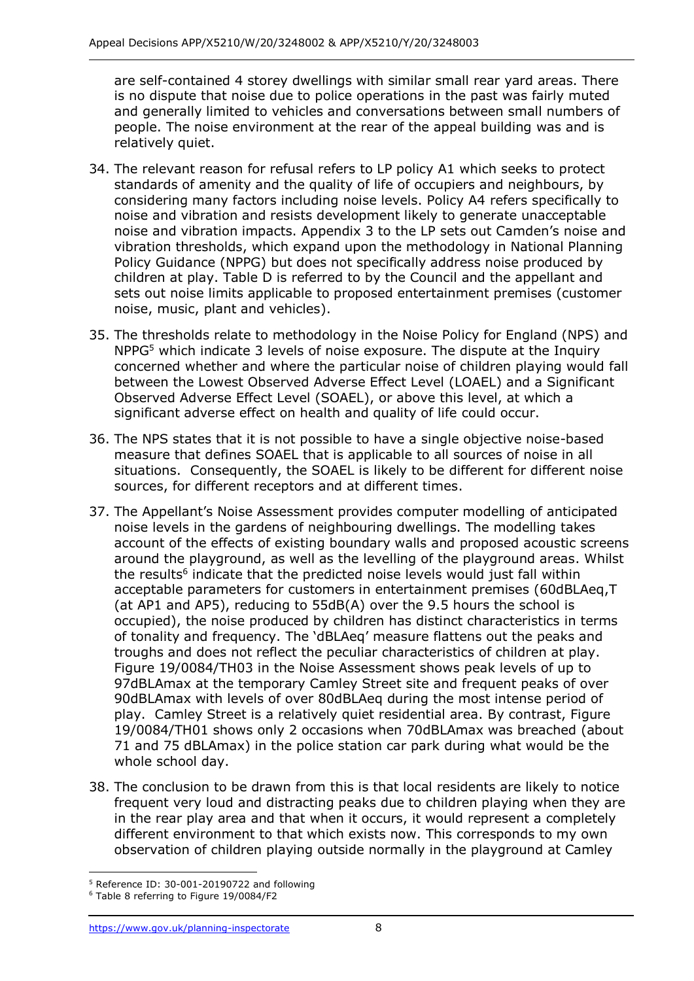are self-contained 4 storey dwellings with similar small rear yard areas. There is no dispute that noise due to police operations in the past was fairly muted and generally limited to vehicles and conversations between small numbers of people. The noise environment at the rear of the appeal building was and is relatively quiet.

- 34. The relevant reason for refusal refers to LP policy A1 which seeks to protect standards of amenity and the quality of life of occupiers and neighbours, by considering many factors including noise levels. Policy A4 refers specifically to noise and vibration and resists development likely to generate unacceptable noise and vibration impacts. Appendix 3 to the LP sets out Camden's noise and vibration thresholds, which expand upon the methodology in National Planning Policy Guidance (NPPG) but does not specifically address noise produced by children at play. Table D is referred to by the Council and the appellant and sets out noise limits applicable to proposed entertainment premises (customer noise, music, plant and vehicles).
- 35. The thresholds relate to methodology in the Noise Policy for England (NPS) and NPPG<sup>5</sup> which indicate 3 levels of noise exposure. The dispute at the Inquiry concerned whether and where the particular noise of children playing would fall between the Lowest Observed Adverse Effect Level (LOAEL) and a Significant Observed Adverse Effect Level (SOAEL), or above this level, at which a significant adverse effect on health and quality of life could occur.
- 36. The NPS states that it is not possible to have a single objective noise-based measure that defines SOAEL that is applicable to all sources of noise in all situations. Consequently, the SOAEL is likely to be different for different noise sources, for different receptors and at different times.
- 37. The Appellant's Noise Assessment provides computer modelling of anticipated noise levels in the gardens of neighbouring dwellings. The modelling takes account of the effects of existing boundary walls and proposed acoustic screens around the playground, as well as the levelling of the playground areas. Whilst the results<sup>6</sup> indicate that the predicted noise levels would just fall within acceptable parameters for customers in entertainment premises (60dBLAeq,T (at AP1 and AP5), reducing to 55dB(A) over the 9.5 hours the school is occupied), the noise produced by children has distinct characteristics in terms of tonality and frequency. The 'dBLAeq' measure flattens out the peaks and troughs and does not reflect the peculiar characteristics of children at play. Figure 19/0084/TH03 in the Noise Assessment shows peak levels of up to 97dBLAmax at the temporary Camley Street site and frequent peaks of over 90dBLAmax with levels of over 80dBLAeq during the most intense period of play. Camley Street is a relatively quiet residential area. By contrast, Figure 19/0084/TH01 shows only 2 occasions when 70dBLAmax was breached (about 71 and 75 dBLAmax) in the police station car park during what would be the whole school day.
- 38. The conclusion to be drawn from this is that local residents are likely to notice frequent very loud and distracting peaks due to children playing when they are in the rear play area and that when it occurs, it would represent a completely different environment to that which exists now. This corresponds to my own observation of children playing outside normally in the playground at Camley

<sup>5</sup> Reference ID: 30-001-20190722 and following

<sup>6</sup> Table 8 referring to Figure 19/0084/F2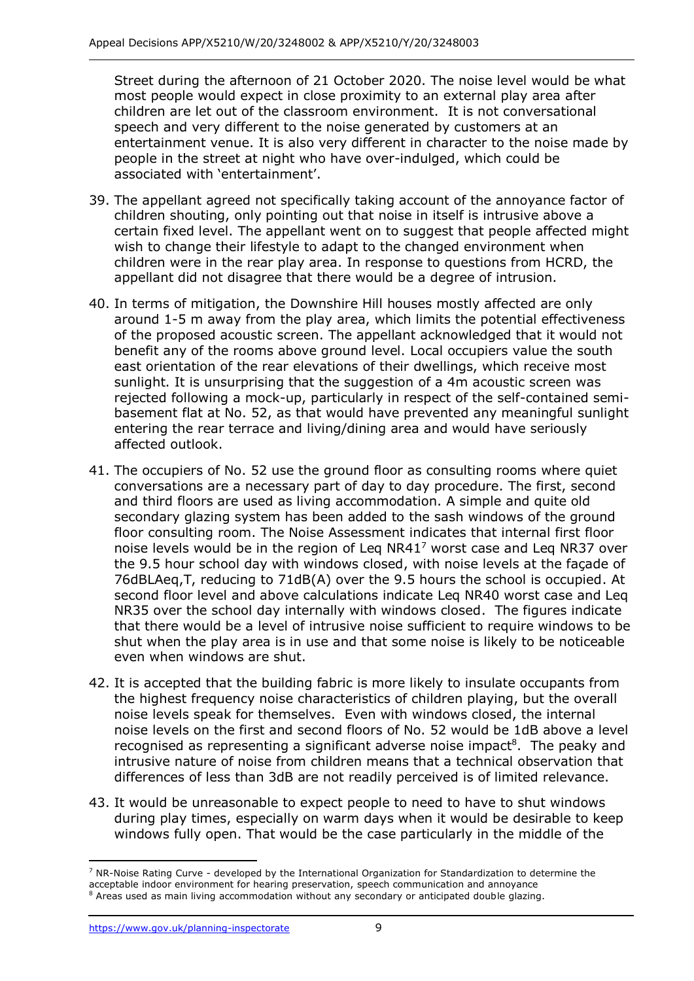Street during the afternoon of 21 October 2020. The noise level would be what most people would expect in close proximity to an external play area after children are let out of the classroom environment. It is not conversational speech and very different to the noise generated by customers at an entertainment venue. It is also very different in character to the noise made by people in the street at night who have over-indulged, which could be associated with 'entertainment'.

- 39. The appellant agreed not specifically taking account of the annoyance factor of children shouting, only pointing out that noise in itself is intrusive above a certain fixed level. The appellant went on to suggest that people affected might wish to change their lifestyle to adapt to the changed environment when children were in the rear play area. In response to questions from HCRD, the appellant did not disagree that there would be a degree of intrusion.
- 40. In terms of mitigation, the Downshire Hill houses mostly affected are only around 1-5 m away from the play area, which limits the potential effectiveness of the proposed acoustic screen. The appellant acknowledged that it would not benefit any of the rooms above ground level. Local occupiers value the south east orientation of the rear elevations of their dwellings, which receive most sunlight. It is unsurprising that the suggestion of a 4m acoustic screen was rejected following a mock-up, particularly in respect of the self-contained semibasement flat at No. 52, as that would have prevented any meaningful sunlight entering the rear terrace and living/dining area and would have seriously affected outlook.
- 41. The occupiers of No. 52 use the ground floor as consulting rooms where quiet conversations are a necessary part of day to day procedure. The first, second and third floors are used as living accommodation. A simple and quite old secondary glazing system has been added to the sash windows of the ground floor consulting room. The Noise Assessment indicates that internal first floor noise levels would be in the region of Leq NR41<sup>7</sup> worst case and Leq NR37 over the 9.5 hour school day with windows closed, with noise levels at the façade of 76dBLAeq,T, reducing to 71dB(A) over the 9.5 hours the school is occupied. At second floor level and above calculations indicate Leq NR40 worst case and Leq NR35 over the school day internally with windows closed. The figures indicate that there would be a level of intrusive noise sufficient to require windows to be shut when the play area is in use and that some noise is likely to be noticeable even when windows are shut.
- 42. It is accepted that the building fabric is more likely to insulate occupants from the highest frequency noise characteristics of children playing, but the overall noise levels speak for themselves. Even with windows closed, the internal noise levels on the first and second floors of No. 52 would be 1dB above a level recognised as representing a significant adverse noise impact<sup>8</sup>. The peaky and intrusive nature of noise from children means that a technical observation that differences of less than 3dB are not readily perceived is of limited relevance.
- 43. It would be unreasonable to expect people to need to have to shut windows during play times, especially on warm days when it would be desirable to keep windows fully open. That would be the case particularly in the middle of the

 $7$  NR-Noise Rating Curve - developed by the International Organization for Standardization to determine the acceptable indoor environment for hearing preservation, speech communication and annoyance  $8$  Areas used as main living accommodation without any secondary or anticipated double glazing.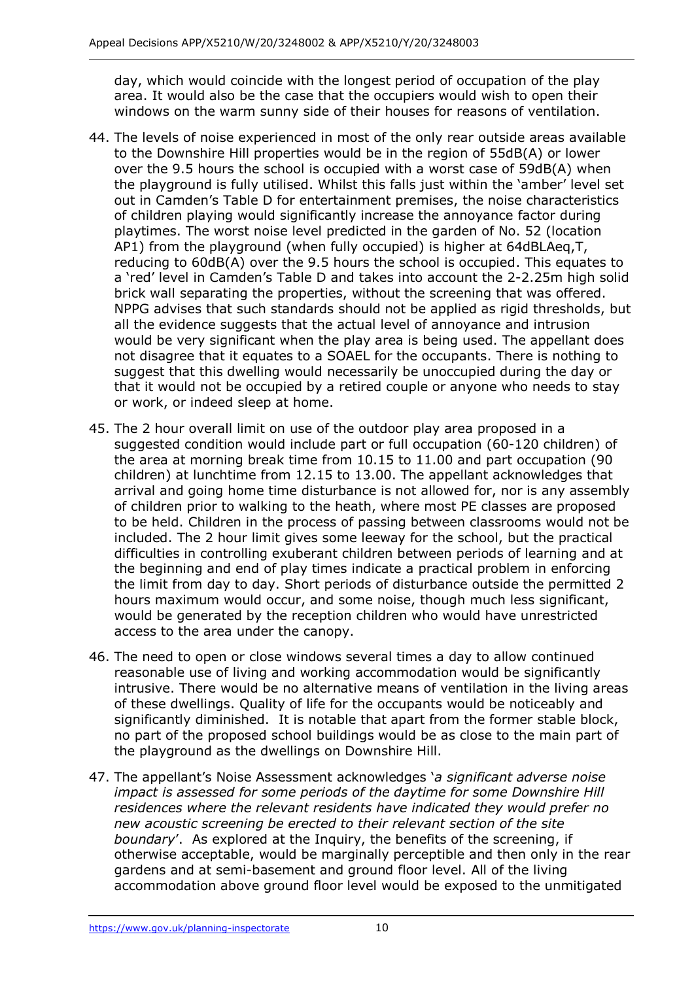day, which would coincide with the longest period of occupation of the play area. It would also be the case that the occupiers would wish to open their windows on the warm sunny side of their houses for reasons of ventilation.

- 44. The levels of noise experienced in most of the only rear outside areas available to the Downshire Hill properties would be in the region of 55dB(A) or lower over the 9.5 hours the school is occupied with a worst case of 59dB(A) when the playground is fully utilised. Whilst this falls just within the 'amber' level set out in Camden's Table D for entertainment premises, the noise characteristics of children playing would significantly increase the annoyance factor during playtimes. The worst noise level predicted in the garden of No. 52 (location AP1) from the playground (when fully occupied) is higher at 64dBLAeq,T, reducing to 60dB(A) over the 9.5 hours the school is occupied. This equates to a 'red' level in Camden's Table D and takes into account the 2-2.25m high solid brick wall separating the properties, without the screening that was offered. NPPG advises that such standards should not be applied as rigid thresholds, but all the evidence suggests that the actual level of annoyance and intrusion would be very significant when the play area is being used. The appellant does not disagree that it equates to a SOAEL for the occupants. There is nothing to suggest that this dwelling would necessarily be unoccupied during the day or that it would not be occupied by a retired couple or anyone who needs to stay or work, or indeed sleep at home.
- 45. The 2 hour overall limit on use of the outdoor play area proposed in a suggested condition would include part or full occupation (60-120 children) of the area at morning break time from 10.15 to 11.00 and part occupation (90 children) at lunchtime from 12.15 to 13.00. The appellant acknowledges that arrival and going home time disturbance is not allowed for, nor is any assembly of children prior to walking to the heath, where most PE classes are proposed to be held. Children in the process of passing between classrooms would not be included. The 2 hour limit gives some leeway for the school, but the practical difficulties in controlling exuberant children between periods of learning and at the beginning and end of play times indicate a practical problem in enforcing the limit from day to day. Short periods of disturbance outside the permitted 2 hours maximum would occur, and some noise, though much less significant, would be generated by the reception children who would have unrestricted access to the area under the canopy.
- 46. The need to open or close windows several times a day to allow continued reasonable use of living and working accommodation would be significantly intrusive. There would be no alternative means of ventilation in the living areas of these dwellings. Quality of life for the occupants would be noticeably and significantly diminished. It is notable that apart from the former stable block, no part of the proposed school buildings would be as close to the main part of the playground as the dwellings on Downshire Hill.
- 47. The appellant's Noise Assessment acknowledges '*a significant adverse noise impact is assessed for some periods of the daytime for some Downshire Hill residences where the relevant residents have indicated they would prefer no new acoustic screening be erected to their relevant section of the site boundary*'. As explored at the Inquiry, the benefits of the screening, if otherwise acceptable, would be marginally perceptible and then only in the rear gardens and at semi-basement and ground floor level. All of the living accommodation above ground floor level would be exposed to the unmitigated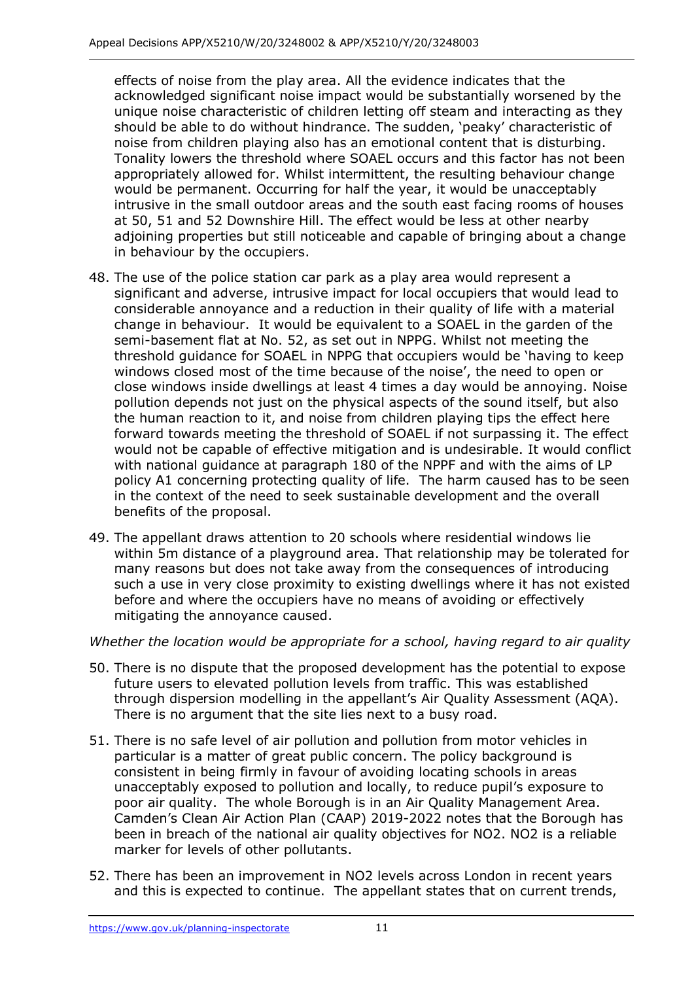effects of noise from the play area. All the evidence indicates that the acknowledged significant noise impact would be substantially worsened by the unique noise characteristic of children letting off steam and interacting as they should be able to do without hindrance. The sudden, 'peaky' characteristic of noise from children playing also has an emotional content that is disturbing. Tonality lowers the threshold where SOAEL occurs and this factor has not been appropriately allowed for. Whilst intermittent, the resulting behaviour change would be permanent. Occurring for half the year, it would be unacceptably intrusive in the small outdoor areas and the south east facing rooms of houses at 50, 51 and 52 Downshire Hill. The effect would be less at other nearby adjoining properties but still noticeable and capable of bringing about a change in behaviour by the occupiers.

- 48. The use of the police station car park as a play area would represent a significant and adverse, intrusive impact for local occupiers that would lead to considerable annoyance and a reduction in their quality of life with a material change in behaviour. It would be equivalent to a SOAEL in the garden of the semi-basement flat at No. 52, as set out in NPPG. Whilst not meeting the threshold guidance for SOAEL in NPPG that occupiers would be 'having to keep windows closed most of the time because of the noise', the need to open or close windows inside dwellings at least 4 times a day would be annoying. Noise pollution depends not just on the physical aspects of the sound itself, but also the human reaction to it, and noise from children playing tips the effect here forward towards meeting the threshold of SOAEL if not surpassing it. The effect would not be capable of effective mitigation and is undesirable. It would conflict with national guidance at paragraph 180 of the NPPF and with the aims of LP policy A1 concerning protecting quality of life. The harm caused has to be seen in the context of the need to seek sustainable development and the overall benefits of the proposal.
- 49. The appellant draws attention to 20 schools where residential windows lie within 5m distance of a playground area. That relationship may be tolerated for many reasons but does not take away from the consequences of introducing such a use in very close proximity to existing dwellings where it has not existed before and where the occupiers have no means of avoiding or effectively mitigating the annoyance caused.

## *Whether the location would be appropriate for a school, having regard to air quality*

- 50. There is no dispute that the proposed development has the potential to expose future users to elevated pollution levels from traffic. This was established through dispersion modelling in the appellant's Air Quality Assessment (AQA). There is no argument that the site lies next to a busy road.
- 51. There is no safe level of air pollution and pollution from motor vehicles in particular is a matter of great public concern. The policy background is consistent in being firmly in favour of avoiding locating schools in areas unacceptably exposed to pollution and locally, to reduce pupil's exposure to poor air quality. The whole Borough is in an Air Quality Management Area. Camden's Clean Air Action Plan (CAAP) 2019-2022 notes that the Borough has been in breach of the national air quality objectives for NO2. NO2 is a reliable marker for levels of other pollutants.
- 52. There has been an improvement in NO2 levels across London in recent years and this is expected to continue. The appellant states that on current trends,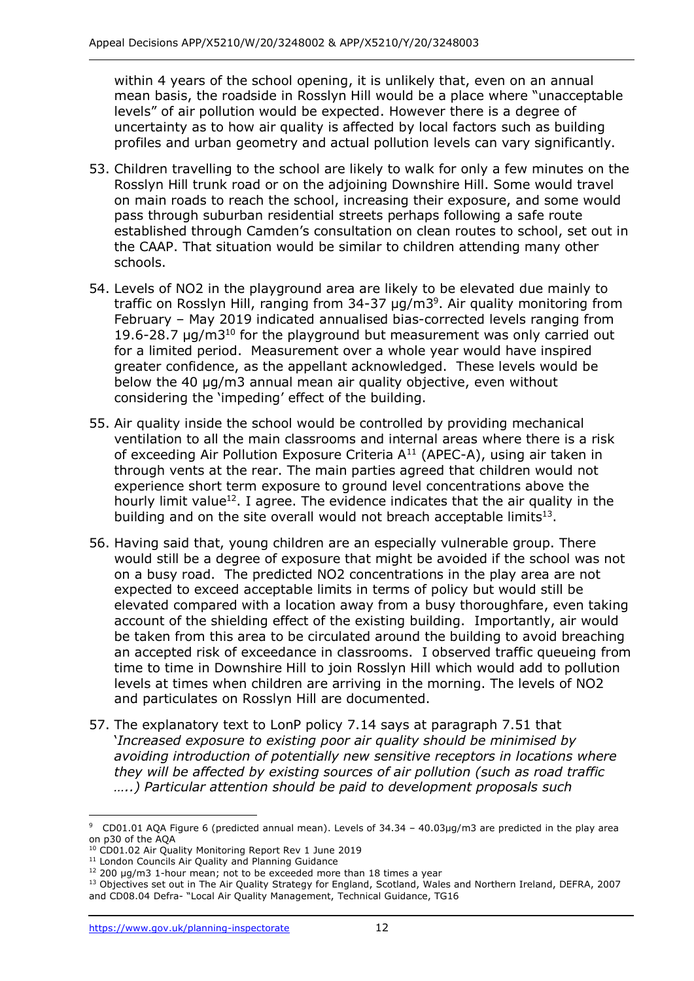within 4 years of the school opening, it is unlikely that, even on an annual mean basis, the roadside in Rosslyn Hill would be a place where "unacceptable levels" of air pollution would be expected. However there is a degree of uncertainty as to how air quality is affected by local factors such as building profiles and urban geometry and actual pollution levels can vary significantly.

- 53. Children travelling to the school are likely to walk for only a few minutes on the Rosslyn Hill trunk road or on the adjoining Downshire Hill. Some would travel on main roads to reach the school, increasing their exposure, and some would pass through suburban residential streets perhaps following a safe route established through Camden's consultation on clean routes to school, set out in the CAAP. That situation would be similar to children attending many other schools.
- 54. Levels of NO2 in the playground area are likely to be elevated due mainly to traffic on Rosslyn Hill, ranging from 34-37  $\mu$ g/m3<sup>9</sup>. Air quality monitoring from February – May 2019 indicated annualised bias-corrected levels ranging from 19.6-28.7  $\mu$ g/m3<sup>10</sup> for the playground but measurement was only carried out for a limited period. Measurement over a whole year would have inspired greater confidence, as the appellant acknowledged. These levels would be below the 40 μg/m3 annual mean air quality objective, even without considering the 'impeding' effect of the building.
- 55. Air quality inside the school would be controlled by providing mechanical ventilation to all the main classrooms and internal areas where there is a risk of exceeding Air Pollution Exposure Criteria  $A<sup>11</sup>$  (APEC-A), using air taken in through vents at the rear. The main parties agreed that children would not experience short term exposure to ground level concentrations above the hourly limit value<sup>12</sup>. I agree. The evidence indicates that the air quality in the building and on the site overall would not breach acceptable limits<sup>13</sup>.
- 56. Having said that, young children are an especially vulnerable group. There would still be a degree of exposure that might be avoided if the school was not on a busy road. The predicted NO2 concentrations in the play area are not expected to exceed acceptable limits in terms of policy but would still be elevated compared with a location away from a busy thoroughfare, even taking account of the shielding effect of the existing building. Importantly, air would be taken from this area to be circulated around the building to avoid breaching an accepted risk of exceedance in classrooms. I observed traffic queueing from time to time in Downshire Hill to join Rosslyn Hill which would add to pollution levels at times when children are arriving in the morning. The levels of NO2 and particulates on Rosslyn Hill are documented.
- 57. The explanatory text to LonP policy 7.14 says at paragraph 7.51 that '*Increased exposure to existing poor air quality should be minimised by avoiding introduction of potentially new sensitive receptors in locations where they will be affected by existing sources of air pollution (such as road traffic …..) Particular attention should be paid to development proposals such*

<sup>&</sup>lt;sup>9</sup> CD01.01 AQA Figure 6 (predicted annual mean). Levels of  $34.34 - 40.03 \mu g/m3$  are predicted in the play area on p30 of the AQA

<sup>&</sup>lt;sup>10</sup> CD01.02 Air Quality Monitoring Report Rev 1 June 2019

<sup>&</sup>lt;sup>11</sup> London Councils Air Quality and Planning Guidance

<sup>&</sup>lt;sup>12</sup> 200 μg/m3 1-hour mean; not to be exceeded more than 18 times a year

<sup>&</sup>lt;sup>13</sup> Objectives set out in The Air Quality Strategy for England, Scotland, Wales and Northern Ireland, DEFRA, 2007 and CD08.04 Defra- "Local Air Quality Management, Technical Guidance, TG16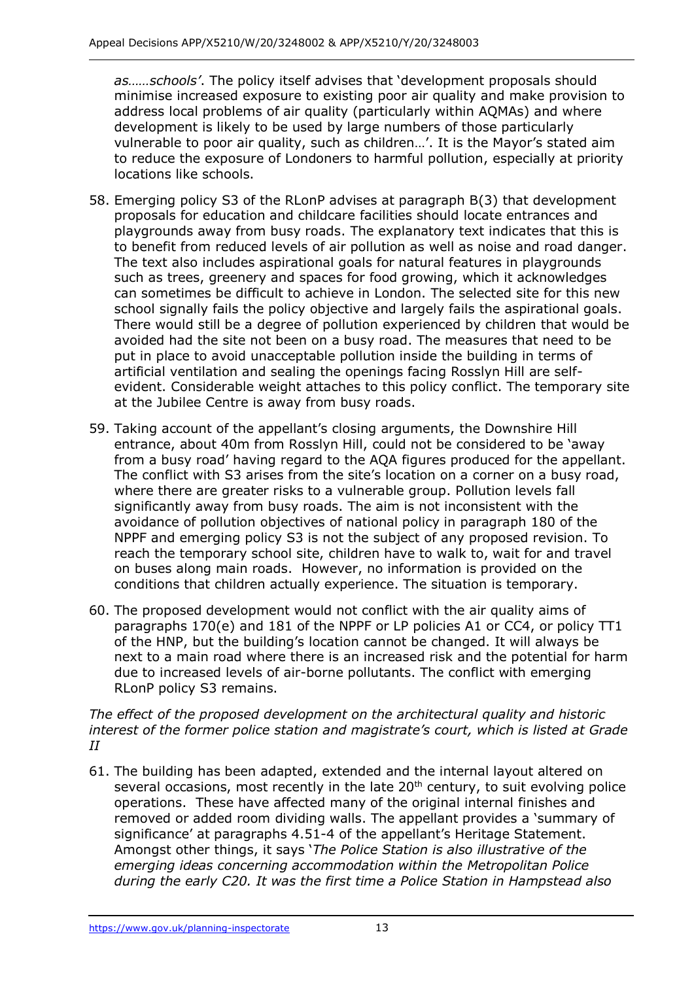*as……schools'*. The policy itself advises that 'development proposals should minimise increased exposure to existing poor air quality and make provision to address local problems of air quality (particularly within AQMAs) and where development is likely to be used by large numbers of those particularly vulnerable to poor air quality, such as children…'. It is the Mayor's stated aim to reduce the exposure of Londoners to harmful pollution, especially at priority locations like schools.

- 58. Emerging policy S3 of the RLonP advises at paragraph B(3) that development proposals for education and childcare facilities should locate entrances and playgrounds away from busy roads. The explanatory text indicates that this is to benefit from reduced levels of air pollution as well as noise and road danger. The text also includes aspirational goals for natural features in playgrounds such as trees, greenery and spaces for food growing, which it acknowledges can sometimes be difficult to achieve in London. The selected site for this new school signally fails the policy objective and largely fails the aspirational goals. There would still be a degree of pollution experienced by children that would be avoided had the site not been on a busy road. The measures that need to be put in place to avoid unacceptable pollution inside the building in terms of artificial ventilation and sealing the openings facing Rosslyn Hill are selfevident. Considerable weight attaches to this policy conflict. The temporary site at the Jubilee Centre is away from busy roads.
- 59. Taking account of the appellant's closing arguments, the Downshire Hill entrance, about 40m from Rosslyn Hill, could not be considered to be 'away from a busy road' having regard to the AQA figures produced for the appellant. The conflict with S3 arises from the site's location on a corner on a busy road, where there are greater risks to a vulnerable group. Pollution levels fall significantly away from busy roads. The aim is not inconsistent with the avoidance of pollution objectives of national policy in paragraph 180 of the NPPF and emerging policy S3 is not the subject of any proposed revision. To reach the temporary school site, children have to walk to, wait for and travel on buses along main roads. However, no information is provided on the conditions that children actually experience. The situation is temporary.
- 60. The proposed development would not conflict with the air quality aims of paragraphs 170(e) and 181 of the NPPF or LP policies A1 or CC4, or policy TT1 of the HNP, but the building's location cannot be changed. It will always be next to a main road where there is an increased risk and the potential for harm due to increased levels of air-borne pollutants. The conflict with emerging RLonP policy S3 remains.

*The effect of the proposed development on the architectural quality and historic interest of the former police station and magistrate's court, which is listed at Grade II*

61. The building has been adapted, extended and the internal layout altered on several occasions, most recently in the late  $20<sup>th</sup>$  century, to suit evolving police operations. These have affected many of the original internal finishes and removed or added room dividing walls. The appellant provides a 'summary of significance' at paragraphs 4.51-4 of the appellant's Heritage Statement. Amongst other things, it says '*The Police Station is also illustrative of the emerging ideas concerning accommodation within the Metropolitan Police during the early C20. It was the first time a Police Station in Hampstead also*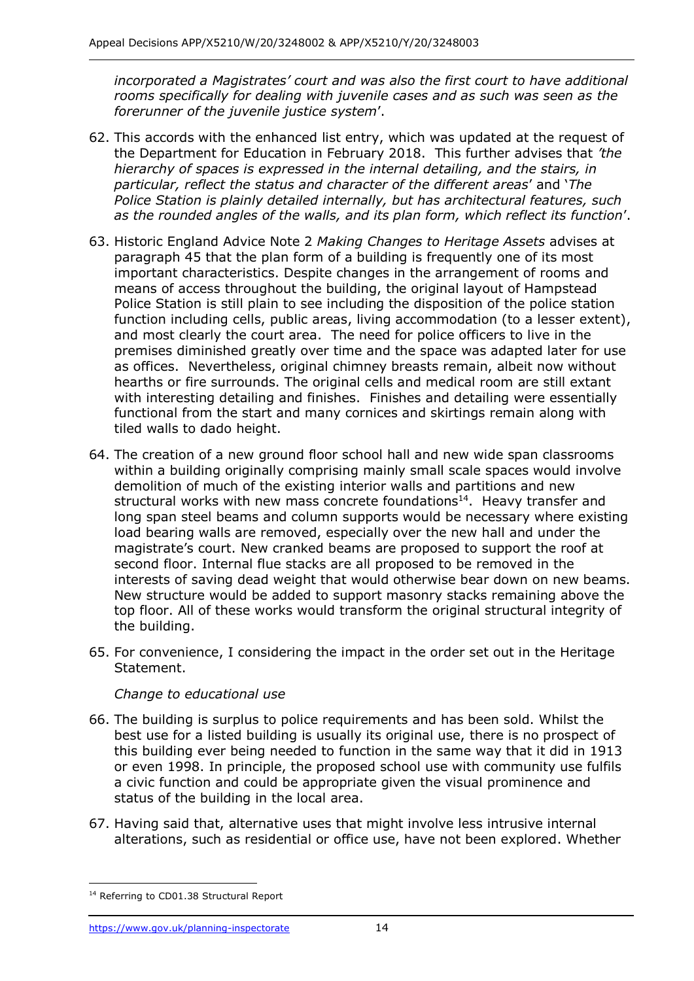*incorporated a Magistrates' court and was also the first court to have additional rooms specifically for dealing with juvenile cases and as such was seen as the forerunner of the juvenile justice system*'.

- 62. This accords with the enhanced list entry, which was updated at the request of the Department for Education in February 2018. This further advises that *'the hierarchy of spaces is expressed in the internal detailing, and the stairs, in particular, reflect the status and character of the different areas*' and '*The Police Station is plainly detailed internally, but has architectural features, such as the rounded angles of the walls, and its plan form, which reflect its function*'.
- 63. Historic England Advice Note 2 *Making Changes to Heritage Assets* advises at paragraph 45 that the plan form of a building is frequently one of its most important characteristics. Despite changes in the arrangement of rooms and means of access throughout the building, the original layout of Hampstead Police Station is still plain to see including the disposition of the police station function including cells, public areas, living accommodation (to a lesser extent), and most clearly the court area. The need for police officers to live in the premises diminished greatly over time and the space was adapted later for use as offices. Nevertheless, original chimney breasts remain, albeit now without hearths or fire surrounds. The original cells and medical room are still extant with interesting detailing and finishes. Finishes and detailing were essentially functional from the start and many cornices and skirtings remain along with tiled walls to dado height.
- 64. The creation of a new ground floor school hall and new wide span classrooms within a building originally comprising mainly small scale spaces would involve demolition of much of the existing interior walls and partitions and new structural works with new mass concrete foundations<sup>14</sup>. Heavy transfer and long span steel beams and column supports would be necessary where existing load bearing walls are removed, especially over the new hall and under the magistrate's court. New cranked beams are proposed to support the roof at second floor. Internal flue stacks are all proposed to be removed in the interests of saving dead weight that would otherwise bear down on new beams. New structure would be added to support masonry stacks remaining above the top floor. All of these works would transform the original structural integrity of the building.
- 65. For convenience, I considering the impact in the order set out in the Heritage Statement.

#### *Change to educational use*

- 66. The building is surplus to police requirements and has been sold. Whilst the best use for a listed building is usually its original use, there is no prospect of this building ever being needed to function in the same way that it did in 1913 or even 1998. In principle, the proposed school use with community use fulfils a civic function and could be appropriate given the visual prominence and status of the building in the local area.
- 67. Having said that, alternative uses that might involve less intrusive internal alterations, such as residential or office use, have not been explored. Whether

<sup>&</sup>lt;sup>14</sup> Referring to CD01.38 Structural Report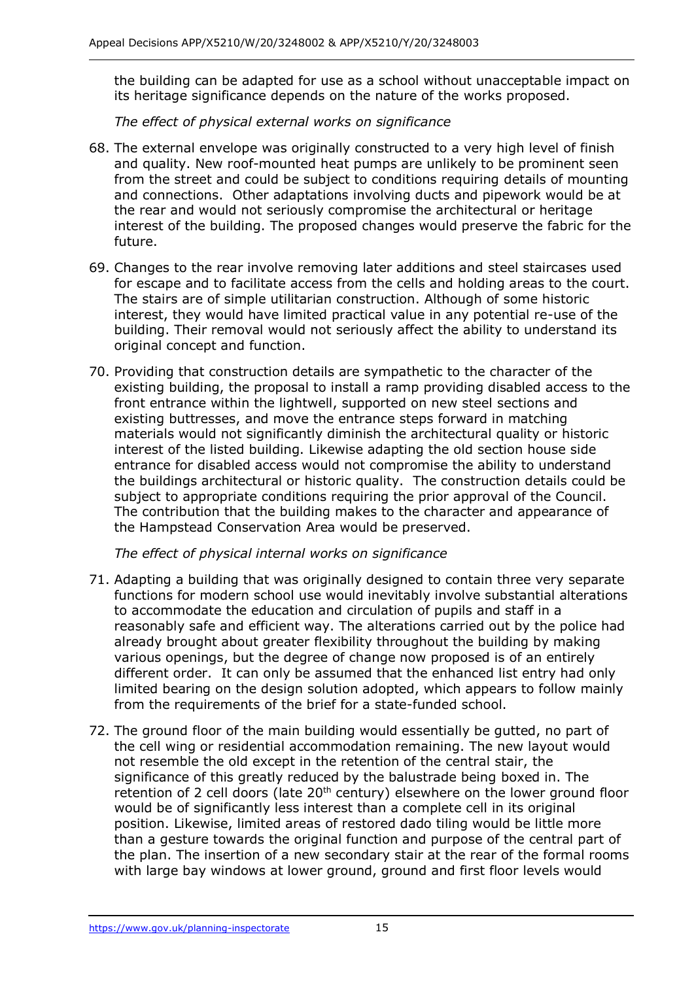the building can be adapted for use as a school without unacceptable impact on its heritage significance depends on the nature of the works proposed.

*The effect of physical external works on significance*

- 68. The external envelope was originally constructed to a very high level of finish and quality. New roof-mounted heat pumps are unlikely to be prominent seen from the street and could be subject to conditions requiring details of mounting and connections. Other adaptations involving ducts and pipework would be at the rear and would not seriously compromise the architectural or heritage interest of the building. The proposed changes would preserve the fabric for the future.
- 69. Changes to the rear involve removing later additions and steel staircases used for escape and to facilitate access from the cells and holding areas to the court. The stairs are of simple utilitarian construction. Although of some historic interest, they would have limited practical value in any potential re-use of the building. Their removal would not seriously affect the ability to understand its original concept and function.
- 70. Providing that construction details are sympathetic to the character of the existing building, the proposal to install a ramp providing disabled access to the front entrance within the lightwell, supported on new steel sections and existing buttresses, and move the entrance steps forward in matching materials would not significantly diminish the architectural quality or historic interest of the listed building. Likewise adapting the old section house side entrance for disabled access would not compromise the ability to understand the buildings architectural or historic quality. The construction details could be subject to appropriate conditions requiring the prior approval of the Council. The contribution that the building makes to the character and appearance of the Hampstead Conservation Area would be preserved.

*The effect of physical internal works on significance*

- 71. Adapting a building that was originally designed to contain three very separate functions for modern school use would inevitably involve substantial alterations to accommodate the education and circulation of pupils and staff in a reasonably safe and efficient way. The alterations carried out by the police had already brought about greater flexibility throughout the building by making various openings, but the degree of change now proposed is of an entirely different order. It can only be assumed that the enhanced list entry had only limited bearing on the design solution adopted, which appears to follow mainly from the requirements of the brief for a state-funded school.
- 72. The ground floor of the main building would essentially be gutted, no part of the cell wing or residential accommodation remaining. The new layout would not resemble the old except in the retention of the central stair, the significance of this greatly reduced by the balustrade being boxed in. The retention of 2 cell doors (late  $20<sup>th</sup>$  century) elsewhere on the lower ground floor would be of significantly less interest than a complete cell in its original position. Likewise, limited areas of restored dado tiling would be little more than a gesture towards the original function and purpose of the central part of the plan. The insertion of a new secondary stair at the rear of the formal rooms with large bay windows at lower ground, ground and first floor levels would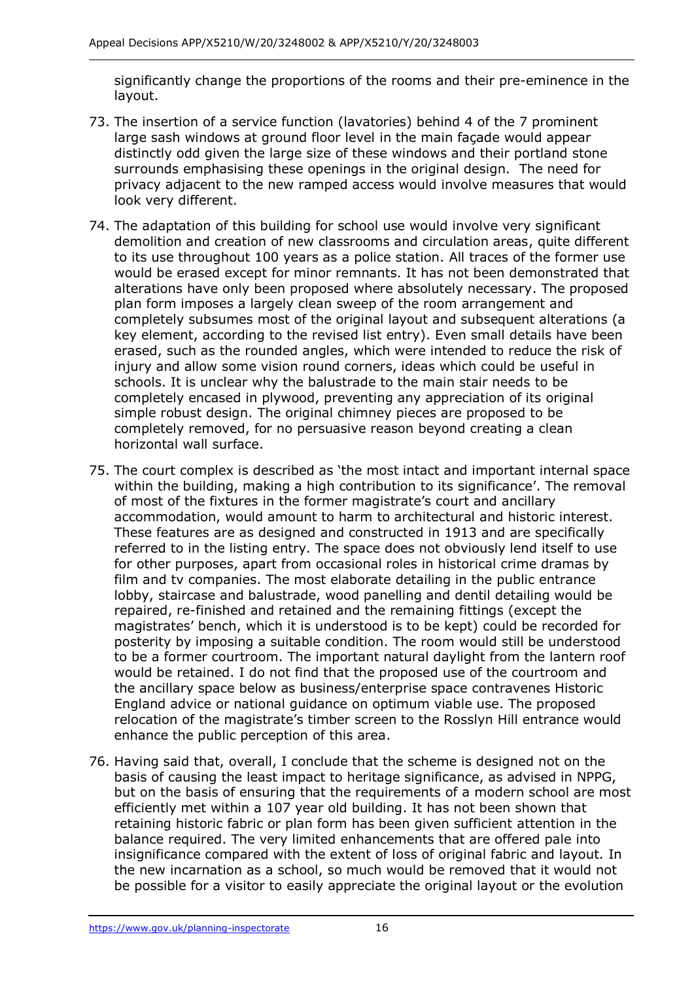significantly change the proportions of the rooms and their pre-eminence in the layout.

- 73. The insertion of a service function (lavatories) behind 4 of the 7 prominent large sash windows at ground floor level in the main façade would appear distinctly odd given the large size of these windows and their portland stone surrounds emphasising these openings in the original design. The need for privacy adjacent to the new ramped access would involve measures that would look very different.
- 74. The adaptation of this building for school use would involve very significant demolition and creation of new classrooms and circulation areas, quite different to its use throughout 100 years as a police station. All traces of the former use would be erased except for minor remnants. It has not been demonstrated that alterations have only been proposed where absolutely necessary. The proposed plan form imposes a largely clean sweep of the room arrangement and completely subsumes most of the original layout and subsequent alterations (a key element, according to the revised list entry). Even small details have been erased, such as the rounded angles, which were intended to reduce the risk of injury and allow some vision round corners, ideas which could be useful in schools. It is unclear why the balustrade to the main stair needs to be completely encased in plywood, preventing any appreciation of its original simple robust design. The original chimney pieces are proposed to be completely removed, for no persuasive reason beyond creating a clean horizontal wall surface.
- 75. The court complex is described as 'the most intact and important internal space within the building, making a high contribution to its significance'. The removal of most of the fixtures in the former magistrate's court and ancillary accommodation, would amount to harm to architectural and historic interest. These features are as designed and constructed in 1913 and are specifically referred to in the listing entry. The space does not obviously lend itself to use for other purposes, apart from occasional roles in historical crime dramas by film and tv companies. The most elaborate detailing in the public entrance lobby, staircase and balustrade, wood panelling and dentil detailing would be repaired, re-finished and retained and the remaining fittings (except the magistrates' bench, which it is understood is to be kept) could be recorded for posterity by imposing a suitable condition. The room would still be understood to be a former courtroom. The important natural daylight from the lantern roof would be retained. I do not find that the proposed use of the courtroom and the ancillary space below as business/enterprise space contravenes Historic England advice or national guidance on optimum viable use. The proposed relocation of the magistrate's timber screen to the Rosslyn Hill entrance would enhance the public perception of this area.
- 76. Having said that, overall, I conclude that the scheme is designed not on the basis of causing the least impact to heritage significance, as advised in NPPG, but on the basis of ensuring that the requirements of a modern school are most efficiently met within a 107 year old building. It has not been shown that retaining historic fabric or plan form has been given sufficient attention in the balance required. The very limited enhancements that are offered pale into insignificance compared with the extent of loss of original fabric and layout. In the new incarnation as a school, so much would be removed that it would not be possible for a visitor to easily appreciate the original layout or the evolution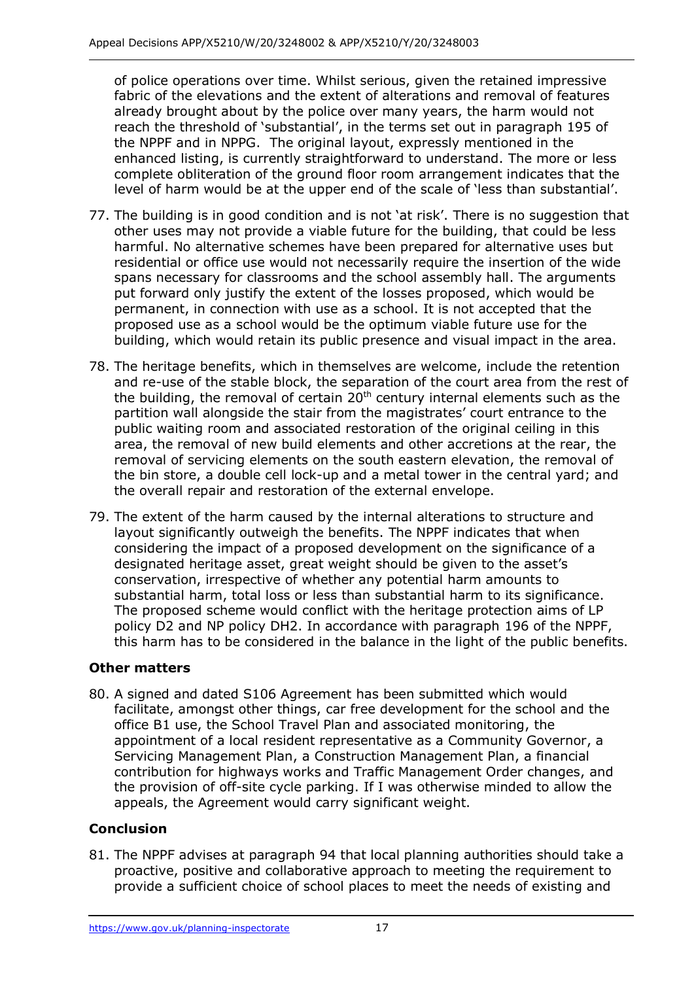of police operations over time. Whilst serious, given the retained impressive fabric of the elevations and the extent of alterations and removal of features already brought about by the police over many years, the harm would not reach the threshold of 'substantial', in the terms set out in paragraph 195 of the NPPF and in NPPG. The original layout, expressly mentioned in the enhanced listing, is currently straightforward to understand. The more or less complete obliteration of the ground floor room arrangement indicates that the level of harm would be at the upper end of the scale of 'less than substantial'.

- 77. The building is in good condition and is not 'at risk'. There is no suggestion that other uses may not provide a viable future for the building, that could be less harmful. No alternative schemes have been prepared for alternative uses but residential or office use would not necessarily require the insertion of the wide spans necessary for classrooms and the school assembly hall. The arguments put forward only justify the extent of the losses proposed, which would be permanent, in connection with use as a school. It is not accepted that the proposed use as a school would be the optimum viable future use for the building, which would retain its public presence and visual impact in the area.
- 78. The heritage benefits, which in themselves are welcome, include the retention and re-use of the stable block, the separation of the court area from the rest of the building, the removal of certain  $20<sup>th</sup>$  century internal elements such as the partition wall alongside the stair from the magistrates' court entrance to the public waiting room and associated restoration of the original ceiling in this area, the removal of new build elements and other accretions at the rear, the removal of servicing elements on the south eastern elevation, the removal of the bin store, a double cell lock-up and a metal tower in the central yard; and the overall repair and restoration of the external envelope.
- 79. The extent of the harm caused by the internal alterations to structure and layout significantly outweigh the benefits. The NPPF indicates that when considering the impact of a proposed development on the significance of a designated heritage asset, great weight should be given to the asset's conservation, irrespective of whether any potential harm amounts to substantial harm, total loss or less than substantial harm to its significance. The proposed scheme would conflict with the heritage protection aims of LP policy D2 and NP policy DH2. In accordance with paragraph 196 of the NPPF, this harm has to be considered in the balance in the light of the public benefits.

## **Other matters**

80. A signed and dated S106 Agreement has been submitted which would facilitate, amongst other things, car free development for the school and the office B1 use, the School Travel Plan and associated monitoring, the appointment of a local resident representative as a Community Governor, a Servicing Management Plan, a Construction Management Plan, a financial contribution for highways works and Traffic Management Order changes, and the provision of off-site cycle parking. If I was otherwise minded to allow the appeals, the Agreement would carry significant weight.

## **Conclusion**

81. The NPPF advises at paragraph 94 that local planning authorities should take a proactive, positive and collaborative approach to meeting the requirement to provide a sufficient choice of school places to meet the needs of existing and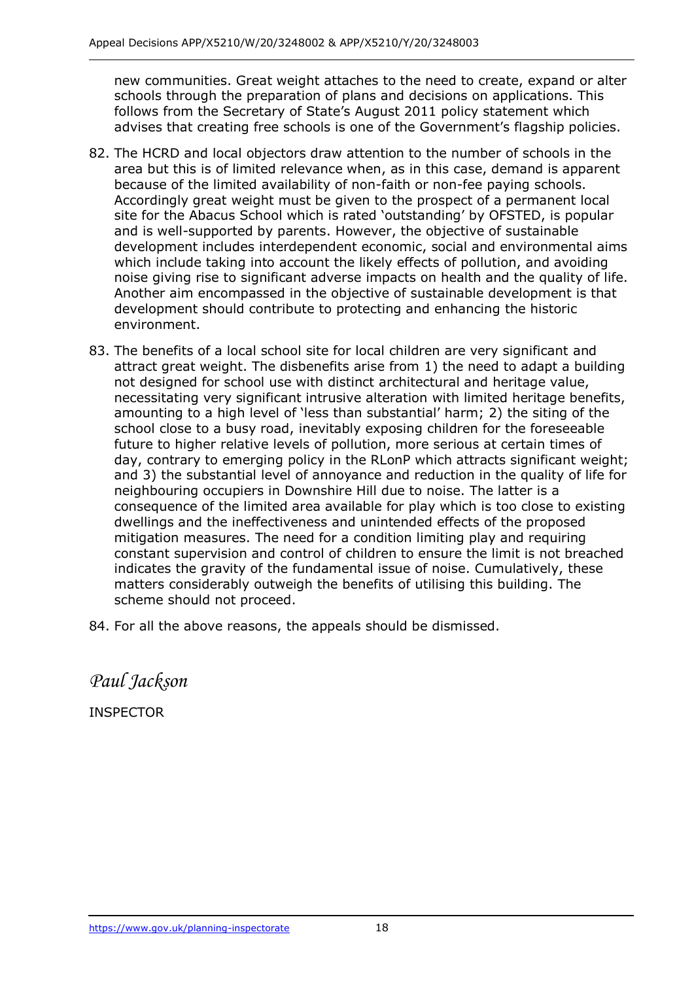new communities. Great weight attaches to the need to create, expand or alter schools through the preparation of plans and decisions on applications. This follows from the Secretary of State's August 2011 policy statement which advises that creating free schools is one of the Government's flagship policies.

- 82. The HCRD and local objectors draw attention to the number of schools in the area but this is of limited relevance when, as in this case, demand is apparent because of the limited availability of non-faith or non-fee paying schools. Accordingly great weight must be given to the prospect of a permanent local site for the Abacus School which is rated 'outstanding' by OFSTED, is popular and is well-supported by parents. However, the objective of sustainable development includes interdependent economic, social and environmental aims which include taking into account the likely effects of pollution, and avoiding noise giving rise to significant adverse impacts on health and the quality of life. Another aim encompassed in the objective of sustainable development is that development should contribute to protecting and enhancing the historic environment.
- 83. The benefits of a local school site for local children are very significant and attract great weight. The disbenefits arise from 1) the need to adapt a building not designed for school use with distinct architectural and heritage value, necessitating very significant intrusive alteration with limited heritage benefits, amounting to a high level of 'less than substantial' harm; 2) the siting of the school close to a busy road, inevitably exposing children for the foreseeable future to higher relative levels of pollution, more serious at certain times of day, contrary to emerging policy in the RLonP which attracts significant weight; and 3) the substantial level of annoyance and reduction in the quality of life for neighbouring occupiers in Downshire Hill due to noise. The latter is a consequence of the limited area available for play which is too close to existing dwellings and the ineffectiveness and unintended effects of the proposed mitigation measures. The need for a condition limiting play and requiring constant supervision and control of children to ensure the limit is not breached indicates the gravity of the fundamental issue of noise. Cumulatively, these matters considerably outweigh the benefits of utilising this building. The scheme should not proceed.
- 84. For all the above reasons, the appeals should be dismissed.

*Paul Jackson*

INSPECTOR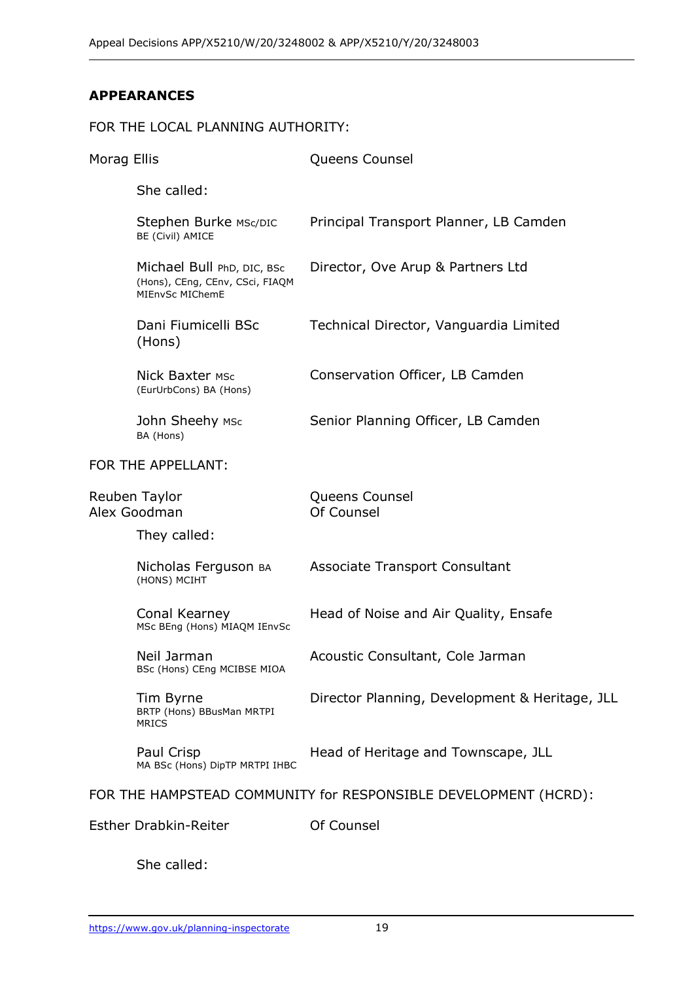## **APPEARANCES**

### FOR THE LOCAL PLANNING AUTHORITY: Morag Ellis **Morag Ellis** Queens Counsel She called: Stephen Burke MSc/DIC BE (Civil) AMICE Principal Transport Planner, LB Camden Michael Bull PhD, DIC, BSc (Hons), CEng, CEnv, CSci, FIAQM MIEnvSc MIChemE Director, Ove Arup & Partners Ltd Dani Fiumicelli BSc (Hons) Technical Director, Vanguardia Limited **Nick Baxter MSc** (EurUrbCons) BA (Hons) Conservation Officer, LB Camden John Sheehy MSc BA (Hons) Senior Planning Officer, LB Camden FOR THE APPELLANT: Reuben Taylor Alex Goodman Queens Counsel Of Counsel They called: Nicholas Ferguson BA (HONS) MCIHT Associate Transport Consultant Conal Kearney MSc BEng (Hons) MIAQM IEnvSc Head of Noise and Air Quality, Ensafe Neil Jarman BSc (Hons) CEng MCIBSE MIOA Acoustic Consultant, Cole Jarman Tim Byrne BRTP (Hons) BBusMan MRTPI **MRICS** Director Planning, Development & Heritage, JLL Paul Crisp MA BSc (Hons) DipTP MRTPI IHBC Head of Heritage and Townscape, JLL FOR THE HAMPSTEAD COMMUNITY for RESPONSIBLE DEVELOPMENT (HCRD): Esther Drabkin-Reiter **Counsel**

She called: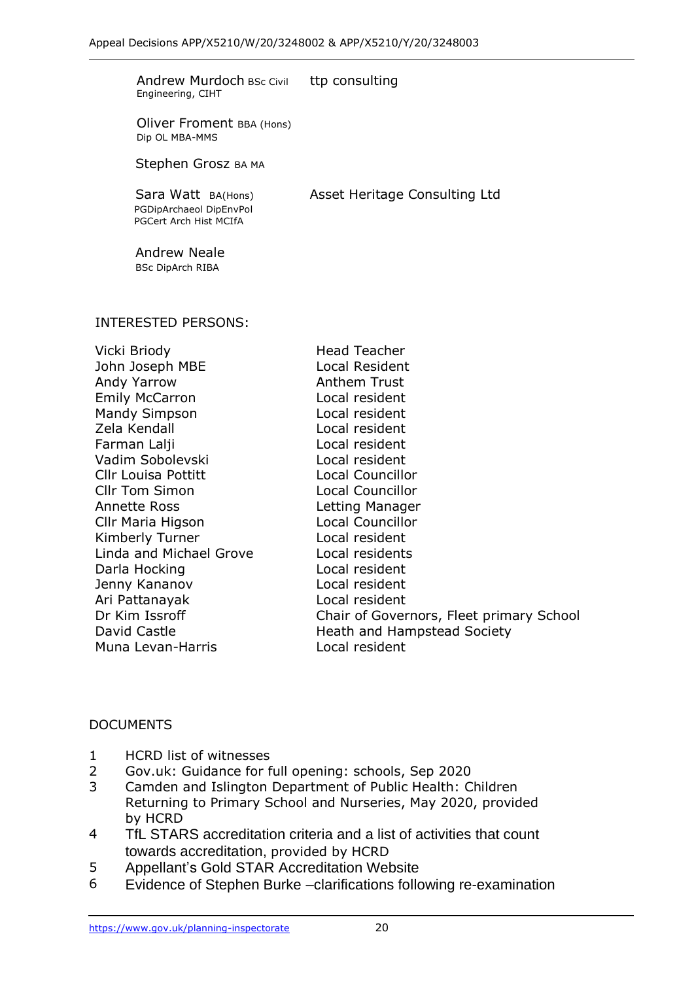| <b>Andrew Murdoch BSc Civil</b><br>Engineering, CIHT                    | ttp consulting                                             |
|-------------------------------------------------------------------------|------------------------------------------------------------|
| Oliver Froment BBA (Hons)<br>Dip OL MBA-MMS                             |                                                            |
| Stephen Grosz BA MA                                                     |                                                            |
| Sara Watt BA(Hons)<br>PGDipArchaeol DipEnvPol<br>PGCert Arch Hist MCIfA | Asset Heritage Consulting Ltd                              |
| <b>Andrew Neale</b><br><b>BSc DipArch RIBA</b>                          |                                                            |
| <b>INTERESTED PERSONS:</b>                                              |                                                            |
| Vicki Briody                                                            | <b>Head Teacher</b>                                        |
| John Joseph MBE                                                         | <b>Local Resident</b>                                      |
| Andy Yarrow<br><b>Emily McCarron</b>                                    | <b>Anthem Trust</b><br>Local resident                      |
| <b>Mandy Simpson</b>                                                    | Local resident                                             |
| Zela Kendall                                                            | Local resident                                             |
| Farman Lalji                                                            | Local resident                                             |
| Vadim Sobolevski                                                        | Local resident                                             |
| <b>Cllr Louisa Pottitt</b>                                              | <b>Local Councillor</b>                                    |
| <b>Cllr Tom Simon</b>                                                   | <b>Local Councillor</b>                                    |
| <b>Annette Ross</b>                                                     | Letting Manager                                            |
| Cllr Maria Higson                                                       | <b>Local Councillor</b>                                    |
| Kimberly Turner                                                         | Local resident                                             |
| Linda and Michael Grove                                                 | Local residents                                            |
| Darla Hocking                                                           | Local resident                                             |
| Jenny Kananov                                                           | Local resident                                             |
| Ari Pattanayak<br>Dr Kim Issroff                                        | Local resident<br>Chair of Governors, Fleet primary School |
| David Castle                                                            | <b>Heath and Hampstead Society</b>                         |
|                                                                         |                                                            |

Muna Levan-Harris Local resident

#### DOCUMENTS

- 1 HCRD list of witnesses
- 2 Gov.uk: Guidance for full opening: schools, Sep 2020
- 3 Camden and Islington Department of Public Health: Children Returning to Primary School and Nurseries, May 2020, provided by HCRD
- 4 TfL STARS accreditation criteria and a list of activities that count towards accreditation, provided by HCRD
- 5 Appellant's Gold STAR Accreditation Website
- 6 Evidence of Stephen Burke –clarifications following re-examination